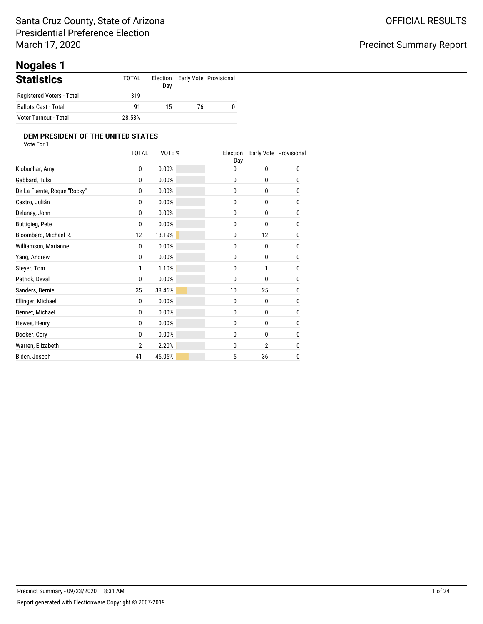# **Nogales 1**

| <b>Statistics</b>         | TOTAL  | Day |    | Election Early Vote Provisional |
|---------------------------|--------|-----|----|---------------------------------|
| Registered Voters - Total | 319    |     |    |                                 |
| Ballots Cast - Total      | 91     | 15  | 76 | 0                               |
| Voter Turnout - Total     | 28.53% |     |    |                                 |

|                             | <b>TOTAL</b> | VOTE % | Election<br>Day |                | Early Vote Provisional |
|-----------------------------|--------------|--------|-----------------|----------------|------------------------|
| Klobuchar, Amy              | 0            | 0.00%  | 0               | 0              | 0                      |
| Gabbard, Tulsi              | $\mathbf{0}$ | 0.00%  | 0               | 0              | 0                      |
| De La Fuente, Roque "Rocky" | 0            | 0.00%  | 0               | $\mathbf{0}$   | 0                      |
| Castro, Julián              | 0            | 0.00%  | 0               | 0              | 0                      |
| Delaney, John               | $\mathbf{0}$ | 0.00%  | 0               | $\mathbf{0}$   | 0                      |
| <b>Buttigieg, Pete</b>      | 0            | 0.00%  | 0               | 0              | 0                      |
| Bloomberg, Michael R.       | 12           | 13.19% | 0               | 12             | 0                      |
| Williamson, Marianne        | 0            | 0.00%  | 0               | 0              | 0                      |
| Yang, Andrew                | 0            | 0.00%  | 0               | 0              | 0                      |
| Steyer, Tom                 | 1            | 1.10%  | 0               | 1              | 0                      |
| Patrick, Deval              | 0            | 0.00%  | 0               | 0              | 0                      |
| Sanders, Bernie             | 35           | 38.46% | 10              | 25             | 0                      |
| Ellinger, Michael           | 0            | 0.00%  | 0               | 0              | 0                      |
| Bennet, Michael             | 0            | 0.00%  | 0               | 0              | 0                      |
| Hewes, Henry                | 0            | 0.00%  | 0               | 0              | 0                      |
| Booker, Cory                | 0            | 0.00%  | 0               | 0              | 0                      |
| Warren, Elizabeth           | 2            | 2.20%  | 0               | $\overline{2}$ | 0                      |
| Biden, Joseph               | 41           | 45.05% | 5               | 36             | 0                      |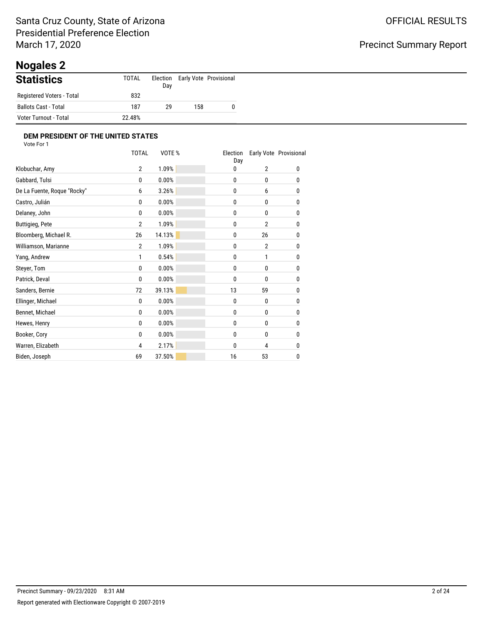# **Nogales 2**

| <b>Statistics</b>         | TOTAL  | Election<br>Day |     | Early Vote Provisional |
|---------------------------|--------|-----------------|-----|------------------------|
| Registered Voters - Total | 832    |                 |     |                        |
| Ballots Cast - Total      | 187    | 29              | 158 |                        |
| Voter Turnout - Total     | 22.48% |                 |     |                        |

|                             | <b>TOTAL</b>   | VOTE % | Election<br>Day |                | Early Vote Provisional |
|-----------------------------|----------------|--------|-----------------|----------------|------------------------|
| Klobuchar, Amy              | $\overline{2}$ | 1.09%  | 0               | $\overline{2}$ | 0                      |
| Gabbard, Tulsi              | 0              | 0.00%  | 0               | 0              | 0                      |
| De La Fuente, Roque "Rocky" | 6              | 3.26%  | 0               | 6              | 0                      |
| Castro, Julián              | 0              | 0.00%  | 0               | 0              | 0                      |
| Delaney, John               | $\mathbf{0}$   | 0.00%  | 0               | 0              | 0                      |
| <b>Buttigieg, Pete</b>      | $\overline{2}$ | 1.09%  | 0               | $\overline{2}$ | 0                      |
| Bloomberg, Michael R.       | 26             | 14.13% | 0               | 26             | 0                      |
| Williamson, Marianne        | $\overline{2}$ | 1.09%  | 0               | $\overline{2}$ | 0                      |
| Yang, Andrew                | 1              | 0.54%  | 0               | 1              | 0                      |
| Steyer, Tom                 | 0              | 0.00%  | 0               | 0              | 0                      |
| Patrick, Deval              | 0              | 0.00%  | 0               | 0              | 0                      |
| Sanders, Bernie             | 72             | 39.13% | 13              | 59             | 0                      |
| Ellinger, Michael           | 0              | 0.00%  | 0               | 0              | 0                      |
| Bennet, Michael             | 0              | 0.00%  | 0               | $\mathbf{0}$   | 0                      |
| Hewes, Henry                | 0              | 0.00%  | 0               | 0              | 0                      |
| Booker, Cory                | 0              | 0.00%  | 0               | 0              | 0                      |
| Warren, Elizabeth           | 4              | 2.17%  | 0               | 4              | 0                      |
| Biden, Joseph               | 69             | 37.50% | 16              | 53             | 0                      |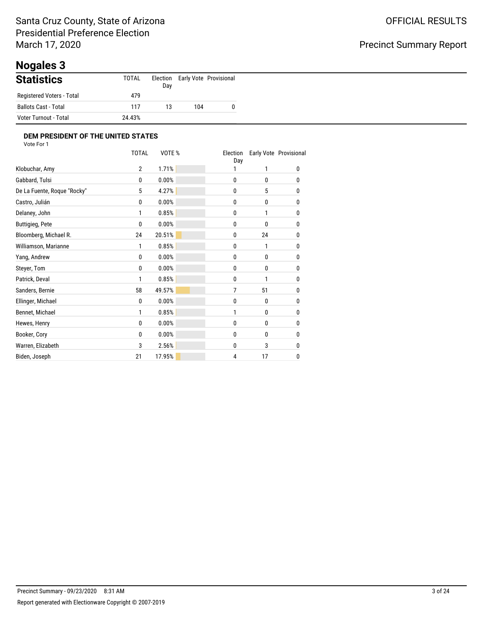# **Nogales 3**

| <b>Statistics</b>         | <b>TOTAL</b> | Election<br>Day |     | Early Vote Provisional |
|---------------------------|--------------|-----------------|-----|------------------------|
| Registered Voters - Total | 479          |                 |     |                        |
| Ballots Cast - Total      | 117          | 13              | 104 |                        |
| Voter Turnout - Total     | 24.43%       |                 |     |                        |

|                             | <b>TOTAL</b>   | VOTE%  | Election<br>Day |    | Early Vote Provisional |
|-----------------------------|----------------|--------|-----------------|----|------------------------|
| Klobuchar, Amy              | $\overline{2}$ | 1.71%  |                 | 1  | 0                      |
| Gabbard, Tulsi              | 0              | 0.00%  | 0               | 0  | 0                      |
| De La Fuente, Roque "Rocky" | 5              | 4.27%  | 0               | 5  | 0                      |
| Castro, Julián              | 0              | 0.00%  | 0               | 0  | 0                      |
| Delaney, John               | 1              | 0.85%  | 0               | 1  | 0                      |
| <b>Buttigieg, Pete</b>      | 0              | 0.00%  | 0               | 0  | 0                      |
| Bloomberg, Michael R.       | 24             | 20.51% | 0               | 24 | 0                      |
| Williamson, Marianne        | 1              | 0.85%  | 0               | 1  | 0                      |
| Yang, Andrew                | 0              | 0.00%  | 0               | 0  | 0                      |
| Steyer, Tom                 | 0              | 0.00%  | 0               | 0  | 0                      |
| Patrick, Deval              | 1              | 0.85%  | 0               | 1  | 0                      |
| Sanders, Bernie             | 58             | 49.57% | 7               | 51 | 0                      |
| Ellinger, Michael           | 0              | 0.00%  | 0               | 0  | 0                      |
| Bennet, Michael             | 1              | 0.85%  | 1               | 0  | 0                      |
| Hewes, Henry                | 0              | 0.00%  | 0               | 0  | 0                      |
| Booker, Cory                | 0              | 0.00%  | 0               | 0  | 0                      |
| Warren, Elizabeth           | 3              | 2.56%  | 0               | 3  | 0                      |
| Biden, Joseph               | 21             | 17.95% | 4               | 17 | 0                      |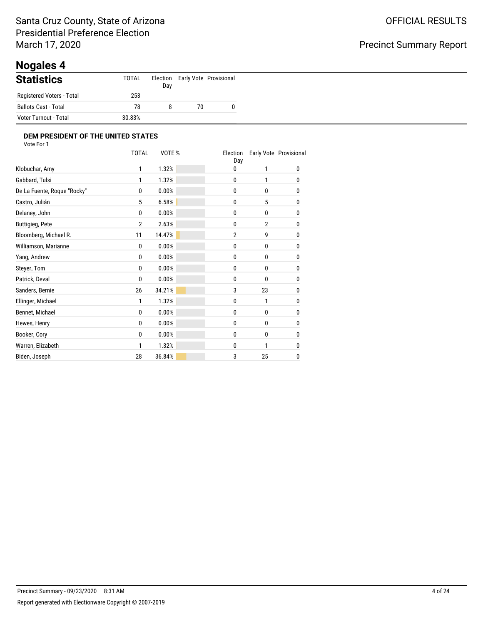# **Nogales 4**

| <b>Statistics</b>         | TOTAL  | Day |    | Election Early Vote Provisional |
|---------------------------|--------|-----|----|---------------------------------|
| Registered Voters - Total | 253    |     |    |                                 |
| Ballots Cast - Total      | 78     | 8   | 70 |                                 |
| Voter Turnout - Total     | 30.83% |     |    |                                 |

|                             | <b>TOTAL</b>   | VOTE%  | Election<br>Day |                | Early Vote Provisional |
|-----------------------------|----------------|--------|-----------------|----------------|------------------------|
| Klobuchar, Amy              | 1              | 1.32%  | 0               | 1              | 0                      |
| Gabbard, Tulsi              | 1              | 1.32%  | 0               | 1              | 0                      |
| De La Fuente, Roque "Rocky" | 0              | 0.00%  | 0               | 0              | 0                      |
| Castro, Julián              | 5              | 6.58%  | 0               | 5              | 0                      |
| Delaney, John               | 0              | 0.00%  | 0               | 0              | 0                      |
| <b>Buttigieg, Pete</b>      | $\overline{2}$ | 2.63%  | 0               | $\overline{2}$ | 0                      |
| Bloomberg, Michael R.       | 11             | 14.47% | $\overline{2}$  | 9              | 0                      |
| Williamson, Marianne        | 0              | 0.00%  | 0               | 0              | 0                      |
| Yang, Andrew                | 0              | 0.00%  | 0               | 0              | 0                      |
| Steyer, Tom                 | 0              | 0.00%  | 0               | 0              | 0                      |
| Patrick, Deval              | 0              | 0.00%  | 0               | 0              | 0                      |
| Sanders, Bernie             | 26             | 34.21% | 3               | 23             | 0                      |
| Ellinger, Michael           | 1              | 1.32%  | 0               | 1              | 0                      |
| Bennet, Michael             | 0              | 0.00%  | 0               | $\mathbf{0}$   | 0                      |
| Hewes, Henry                | 0              | 0.00%  | 0               | 0              | 0                      |
| Booker, Cory                | 0              | 0.00%  | 0               | 0              | 0                      |
| Warren, Elizabeth           | 1              | 1.32%  | 0               | 1              | 0                      |
| Biden, Joseph               | 28             | 36.84% | 3               | 25             | 0                      |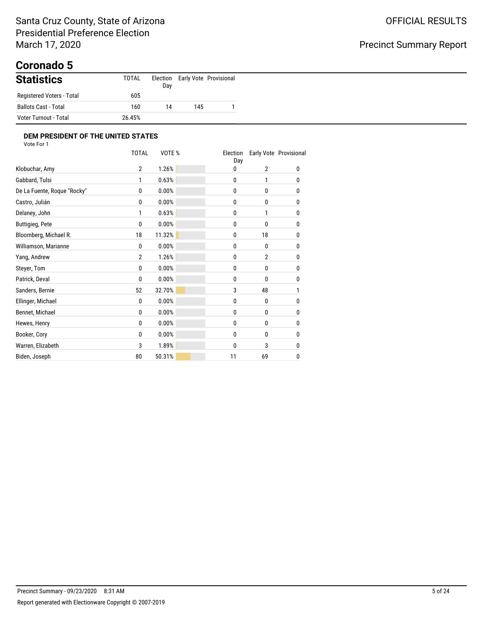# **Coronado 5**

| <b>Statistics</b>           | TOTAL  | Election<br>Day |     | Early Vote Provisional |
|-----------------------------|--------|-----------------|-----|------------------------|
| Registered Voters - Total   | 605    |                 |     |                        |
| <b>Ballots Cast - Total</b> | 160    | 14              | 145 |                        |
| Voter Turnout - Total       | 26.45% |                 |     |                        |

|                             | <b>TOTAL</b>   | VOTE % | Election<br>Day |                | Early Vote Provisional |
|-----------------------------|----------------|--------|-----------------|----------------|------------------------|
| Klobuchar, Amy              | $\overline{2}$ | 1.26%  | 0               | $\overline{2}$ | 0                      |
| Gabbard, Tulsi              | 1              | 0.63%  | 0               | 1              | 0                      |
| De La Fuente, Roque "Rocky" | 0              | 0.00%  | 0               | $\mathbf{0}$   | 0                      |
| Castro, Julián              | 0              | 0.00%  | 0               | 0              | 0                      |
| Delaney, John               | 1              | 0.63%  | 0               | 1              | 0                      |
| <b>Buttigieg, Pete</b>      | 0              | 0.00%  | 0               | 0              | 0                      |
| Bloomberg, Michael R.       | 18             | 11.32% | 0               | 18             | 0                      |
| Williamson, Marianne        | 0              | 0.00%  | 0               | 0              | 0                      |
| Yang, Andrew                | $\overline{2}$ | 1.26%  | 0               | $\overline{2}$ | 0                      |
| Steyer, Tom                 | 0              | 0.00%  | 0               | 0              | 0                      |
| Patrick, Deval              | 0              | 0.00%  | 0               | 0              | 0                      |
| Sanders, Bernie             | 52             | 32.70% | 3               | 48             | 1                      |
| Ellinger, Michael           | 0              | 0.00%  | 0               | 0              | 0                      |
| Bennet, Michael             | 0              | 0.00%  | 0               | 0              | 0                      |
| Hewes, Henry                | 0              | 0.00%  | 0               | 0              | 0                      |
| Booker, Cory                | 0              | 0.00%  | 0               | 0              | 0                      |
| Warren, Elizabeth           | 3              | 1.89%  | 0               | 3              | 0                      |
| Biden, Joseph               | 80             | 50.31% | 11              | 69             | 0                      |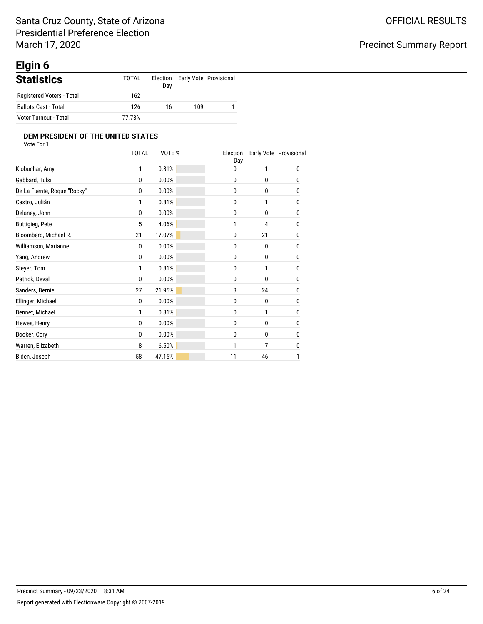# **Elgin 6**

| <b>Statistics</b>           | TOTAL  | Election<br>Day |     | Early Vote Provisional |
|-----------------------------|--------|-----------------|-----|------------------------|
| Registered Voters - Total   | 162    |                 |     |                        |
| <b>Ballots Cast - Total</b> | 126    | 16              | 109 |                        |
| Voter Turnout - Total       | 77.78% |                 |     |                        |

| <b>TOTAL</b> | VOTE % | Election<br>Day |              | Early Vote Provisional |
|--------------|--------|-----------------|--------------|------------------------|
| 1            | 0.81%  | 0               | 1            | 0                      |
| $\mathbf{0}$ | 0.00%  | 0               | 0            | 0                      |
| 0            | 0.00%  | 0               | 0            | 0                      |
| 1            | 0.81%  | 0               | 1            | 0                      |
| 0            | 0.00%  | 0               | 0            | 0                      |
| 5            | 4.06%  | 1               | 4            | $\mathbf{0}$           |
| 21           | 17.07% | 0               | 21           | 0                      |
| 0            | 0.00%  | 0               | $\mathbf{0}$ | 0                      |
| $\mathbf{0}$ | 0.00%  | 0               | 0            | 0                      |
| 1            | 0.81%  | 0               | 1            | 0                      |
| 0            | 0.00%  | 0               | 0            | 0                      |
| 27           | 21.95% | 3               | 24           | $\mathbf{0}$           |
| $\mathbf{0}$ | 0.00%  | 0               | 0            | $\mathbf{0}$           |
| 1            | 0.81%  | 0               | 1            | $\mathbf{0}$           |
| $\mathbf{0}$ | 0.00%  | 0               | 0            | 0                      |
| $\mathbf{0}$ | 0.00%  | 0               | 0            | 0                      |
| 8            | 6.50%  | 1               | 7            | 0                      |
| 58           | 47.15% | 11              | 46           | 1                      |
|              |        |                 |              |                        |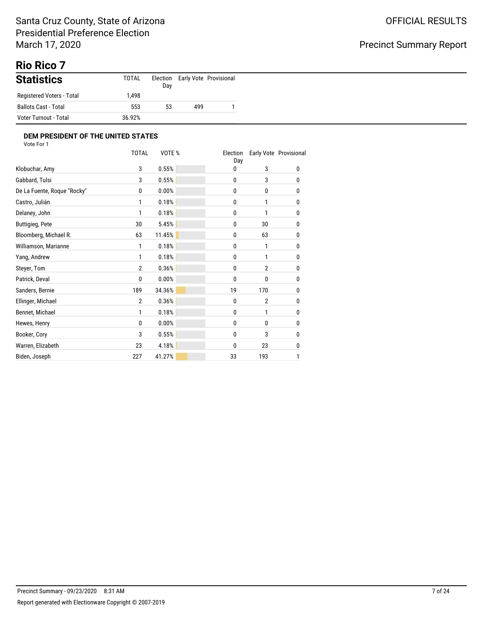# **Rio Rico 7**

| <b>Statistics</b>         | TOTAL  | Election<br>Day |     | Early Vote Provisional |
|---------------------------|--------|-----------------|-----|------------------------|
| Registered Voters - Total | .498   |                 |     |                        |
| Ballots Cast - Total      | 553    | 53              | 499 |                        |
| Voter Turnout - Total     | 36.92% |                 |     |                        |

|                             | <b>TOTAL</b>   | VOTE % | Election<br>Day |                | Early Vote Provisional |
|-----------------------------|----------------|--------|-----------------|----------------|------------------------|
| Klobuchar, Amy              | 3              | 0.55%  | 0               | 3              | 0                      |
| Gabbard, Tulsi              | 3              | 0.55%  | 0               | 3              | 0                      |
| De La Fuente, Roque "Rocky" | 0              | 0.00%  | 0               | 0              | 0                      |
| Castro, Julián              | 1              | 0.18%  | 0               | 1              | 0                      |
| Delaney, John               | 1              | 0.18%  | $\mathbf{0}$    | 1              | 0                      |
| <b>Buttigieg, Pete</b>      | 30             | 5.45%  | 0               | 30             | 0                      |
| Bloomberg, Michael R.       | 63             | 11.45% | 0               | 63             | 0                      |
| Williamson, Marianne        | 1              | 0.18%  | 0               | 1              | 0                      |
| Yang, Andrew                | 1              | 0.18%  | 0               | 1              | 0                      |
| Steyer, Tom                 | $\overline{2}$ | 0.36%  | 0               | $\overline{2}$ | 0                      |
| Patrick, Deval              | 0              | 0.00%  | 0               | 0              | 0                      |
| Sanders, Bernie             | 189            | 34.36% | 19              | 170            | 0                      |
| Ellinger, Michael           | $\overline{2}$ | 0.36%  | $\mathbf{0}$    | $\overline{2}$ | 0                      |
| Bennet, Michael             | 1              | 0.18%  | 0               | 1              | $\mathbf{0}$           |
| Hewes, Henry                | 0              | 0.00%  | 0               | 0              | 0                      |
| Booker, Cory                | 3              | 0.55%  | 0               | 3              | 0                      |
| Warren, Elizabeth           | 23             | 4.18%  | 0               | 23             | 0                      |
| Biden, Joseph               | 227            | 41.27% | 33              | 193            | 1                      |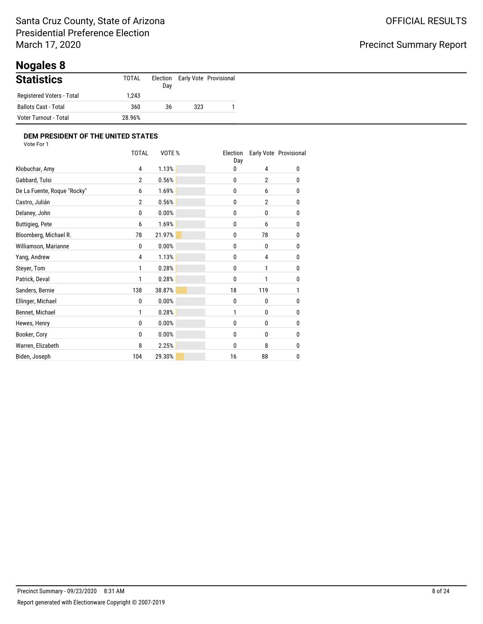# **Nogales 8**

| <b>Statistics</b>           | <b>TOTAL</b> | Election<br>Day |     | Early Vote Provisional |
|-----------------------------|--------------|-----------------|-----|------------------------|
| Registered Voters - Total   | .243         |                 |     |                        |
| <b>Ballots Cast - Total</b> | 360          | 36              | 323 |                        |
| Voter Turnout - Total       | 28.96%       |                 |     |                        |

|                             | <b>TOTAL</b>   | VOTE%  | Election<br>Day |                | Early Vote Provisional |
|-----------------------------|----------------|--------|-----------------|----------------|------------------------|
| Klobuchar, Amy              | 4              | 1.13%  | 0               | 4              | 0                      |
| Gabbard, Tulsi              | $\overline{2}$ | 0.56%  | 0               | $\overline{2}$ | 0                      |
| De La Fuente, Roque "Rocky" | 6              | 1.69%  | 0               | 6              | 0                      |
| Castro, Julián              | $\overline{2}$ | 0.56%  | 0               | $\overline{2}$ | 0                      |
| Delaney, John               | 0              | 0.00%  | 0               | 0              | 0                      |
| <b>Buttigieg, Pete</b>      | 6              | 1.69%  | 0               | 6              | 0                      |
| Bloomberg, Michael R.       | 78             | 21.97% | 0               | 78             | 0                      |
| Williamson, Marianne        | 0              | 0.00%  | 0               | 0              | 0                      |
| Yang, Andrew                | 4              | 1.13%  | 0               | 4              | 0                      |
| Steyer, Tom                 | 1              | 0.28%  | 0               | 1              | 0                      |
| Patrick, Deval              | 1              | 0.28%  | 0               | 1              | 0                      |
| Sanders, Bernie             | 138            | 38.87% | 18              | 119            | 1                      |
| Ellinger, Michael           | 0              | 0.00%  | 0               | 0              | 0                      |
| Bennet, Michael             | 1              | 0.28%  | 1               | 0              | 0                      |
| Hewes, Henry                | 0              | 0.00%  | 0               | 0              | 0                      |
| Booker, Cory                | 0              | 0.00%  | 0               | 0              | 0                      |
| Warren, Elizabeth           | 8              | 2.25%  | 0               | 8              | 0                      |
| Biden, Joseph               | 104            | 29.30% | 16              | 88             | 0                      |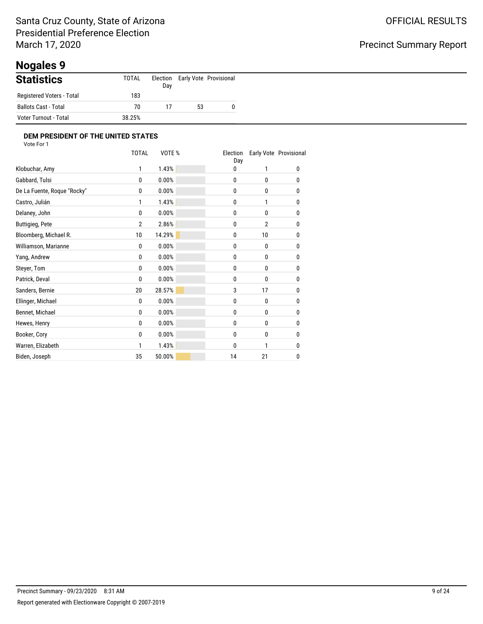# **Nogales 9**

| <b>Statistics</b>         | TOTAL  | Election<br>Day |    | Early Vote Provisional |
|---------------------------|--------|-----------------|----|------------------------|
| Registered Voters - Total | 183    |                 |    |                        |
| Ballots Cast - Total      | 70     | 17              | 53 |                        |
| Voter Turnout - Total     | 38.25% |                 |    |                        |

|                             | <b>TOTAL</b>   | VOTE % | Election<br>Day |                | Early Vote Provisional |
|-----------------------------|----------------|--------|-----------------|----------------|------------------------|
| Klobuchar, Amy              | 1              | 1.43%  | 0               | 1              | 0                      |
| Gabbard, Tulsi              | 0              | 0.00%  | 0               | 0              | 0                      |
| De La Fuente, Roque "Rocky" | 0              | 0.00%  | 0               | 0              | 0                      |
| Castro, Julián              | 1              | 1.43%  | 0               | 1              | 0                      |
| Delaney, John               | 0              | 0.00%  | 0               | 0              | 0                      |
| <b>Buttigieg, Pete</b>      | $\overline{2}$ | 2.86%  | 0               | $\overline{2}$ | 0                      |
| Bloomberg, Michael R.       | 10             | 14.29% | 0               | 10             | 0                      |
| Williamson, Marianne        | 0              | 0.00%  | 0               | 0              | 0                      |
| Yang, Andrew                | 0              | 0.00%  | 0               | 0              | 0                      |
| Steyer, Tom                 | 0              | 0.00%  | 0               | 0              | 0                      |
| Patrick, Deval              | 0              | 0.00%  | 0               | 0              | 0                      |
| Sanders, Bernie             | 20             | 28.57% | 3               | 17             | 0                      |
| Ellinger, Michael           | 0              | 0.00%  | 0               | 0              | 0                      |
| Bennet, Michael             | 0              | 0.00%  | 0               | 0              | 0                      |
| Hewes, Henry                | 0              | 0.00%  | 0               | 0              | 0                      |
| Booker, Cory                | 0              | 0.00%  | 0               | 0              | 0                      |
| Warren, Elizabeth           | 1              | 1.43%  | 0               | 1              | 0                      |
| Biden, Joseph               | 35             | 50.00% | 14              | 21             | 0                      |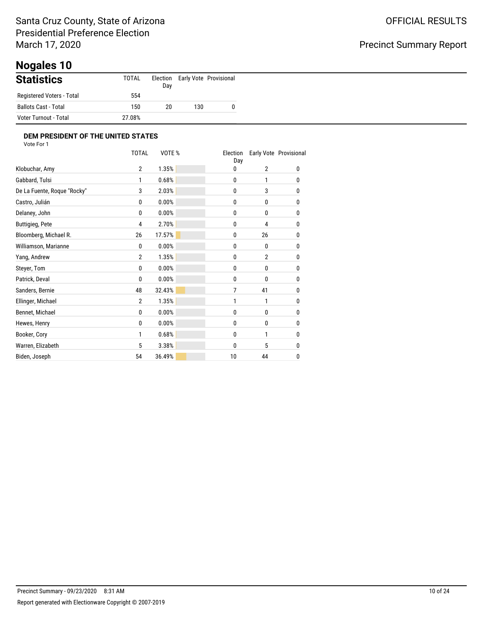# **Nogales 10**

| <b>Statistics</b>         | <b>TOTAL</b> | Day |     | Election Early Vote Provisional |
|---------------------------|--------------|-----|-----|---------------------------------|
| Registered Voters - Total | 554          |     |     |                                 |
| Ballots Cast - Total      | 150          | 20  | 130 |                                 |
| Voter Turnout - Total     | 27.08%       |     |     |                                 |

|                             | <b>TOTAL</b>   | VOTE%  | Election<br>Day |                | Early Vote Provisional |
|-----------------------------|----------------|--------|-----------------|----------------|------------------------|
| Klobuchar, Amy              | $\overline{2}$ | 1.35%  | 0               | $\overline{2}$ | 0                      |
| Gabbard, Tulsi              | 1              | 0.68%  | 0               | 1              | 0                      |
| De La Fuente, Roque "Rocky" | 3              | 2.03%  | 0               | 3              | 0                      |
| Castro, Julián              | 0              | 0.00%  | 0               | 0              | 0                      |
| Delaney, John               | $\mathbf{0}$   | 0.00%  | 0               | $\mathbf{0}$   | 0                      |
| <b>Buttigieg, Pete</b>      | 4              | 2.70%  | 0               | 4              | 0                      |
| Bloomberg, Michael R.       | 26             | 17.57% | 0               | 26             | 0                      |
| Williamson, Marianne        | 0              | 0.00%  | 0               | 0              | 0                      |
| Yang, Andrew                | $\overline{2}$ | 1.35%  | 0               | $\overline{2}$ | 0                      |
| Steyer, Tom                 | 0              | 0.00%  | 0               | 0              | 0                      |
| Patrick, Deval              | 0              | 0.00%  | 0               | 0              | 0                      |
| Sanders, Bernie             | 48             | 32.43% | 7               | 41             | 0                      |
| Ellinger, Michael           | $\overline{2}$ | 1.35%  | 1               | 1              | 0                      |
| Bennet, Michael             | 0              | 0.00%  | 0               | $\mathbf{0}$   | 0                      |
| Hewes, Henry                | 0              | 0.00%  | 0               | 0              | 0                      |
| Booker, Cory                | 1              | 0.68%  | 0               | 1              | 0                      |
| Warren, Elizabeth           | 5              | 3.38%  | 0               | 5              | 0                      |
| Biden, Joseph               | 54             | 36.49% | 10              | 44             | 0                      |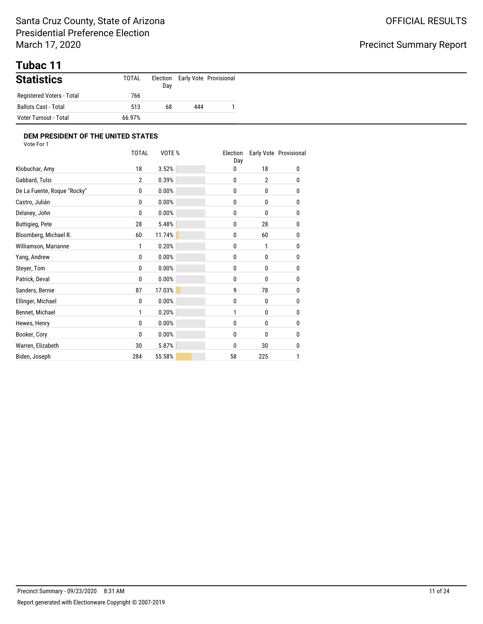# **Tubac 11**

| <b>Statistics</b>         | TOTAL  | Election<br>Day |     | Early Vote Provisional |
|---------------------------|--------|-----------------|-----|------------------------|
| Registered Voters - Total | 766    |                 |     |                        |
| Ballots Cast - Total      | 513    | 68              | 444 |                        |
| Voter Turnout - Total     | 66.97% |                 |     |                        |

|                             | <b>TOTAL</b>   | VOTE%  | Election<br>Day |                | Early Vote Provisional |
|-----------------------------|----------------|--------|-----------------|----------------|------------------------|
| Klobuchar, Amy              | 18             | 3.52%  | 0               | 18             | 0                      |
| Gabbard, Tulsi              | $\overline{2}$ | 0.39%  | 0               | $\overline{2}$ | 0                      |
| De La Fuente, Roque "Rocky" | 0              | 0.00%  | 0               | 0              | 0                      |
| Castro, Julián              | 0              | 0.00%  | 0               | 0              | 0                      |
| Delaney, John               | 0              | 0.00%  | 0               | $\mathbf{0}$   | 0                      |
| <b>Buttigieg, Pete</b>      | 28             | 5.48%  | 0               | 28             | 0                      |
| Bloomberg, Michael R.       | 60             | 11.74% | 0               | 60             | 0                      |
| Williamson, Marianne        | 1              | 0.20%  | 0               | 1              | 0                      |
| Yang, Andrew                | 0              | 0.00%  | 0               | 0              | 0                      |
| Steyer, Tom                 | 0              | 0.00%  | 0               | 0              | 0                      |
| Patrick, Deval              | 0              | 0.00%  | 0               | 0              | 0                      |
| Sanders, Bernie             | 87             | 17.03% | 9               | 78             | 0                      |
| Ellinger, Michael           | 0              | 0.00%  | 0               | $\mathbf{0}$   | 0                      |
| Bennet, Michael             | 1              | 0.20%  | 1               | 0              | 0                      |
| Hewes, Henry                | 0              | 0.00%  | 0               | 0              | 0                      |
| Booker, Cory                | 0              | 0.00%  | 0               | 0              | 0                      |
| Warren, Elizabeth           | 30             | 5.87%  | 0               | 30             | 0                      |
| Biden, Joseph               | 284            | 55.58% | 58              | 225            | 1                      |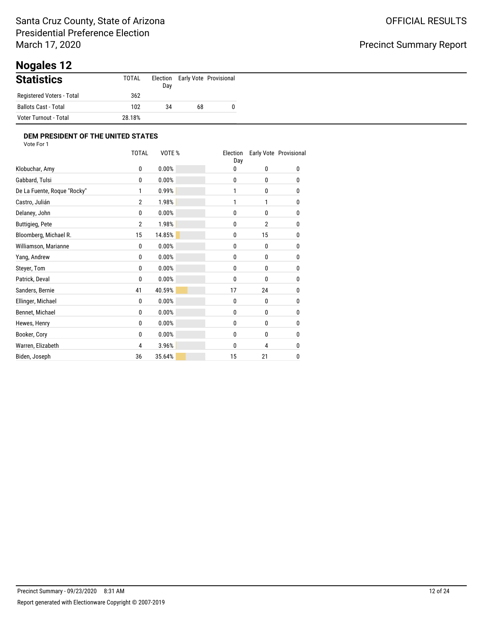# **Nogales 12**

| <b>Statistics</b>         | TOTAL  | Election<br>Day |    | Early Vote Provisional |
|---------------------------|--------|-----------------|----|------------------------|
| Registered Voters - Total | 362    |                 |    |                        |
| Ballots Cast - Total      | 102    | 34              | 68 |                        |
| Voter Turnout - Total     | 28.18% |                 |    |                        |

|                             | <b>TOTAL</b>   | VOTE%  | Election<br>Day |                | Early Vote Provisional |
|-----------------------------|----------------|--------|-----------------|----------------|------------------------|
| Klobuchar, Amy              | 0              | 0.00%  | 0               | 0              | 0                      |
| Gabbard, Tulsi              | 0              | 0.00%  | 0               | 0              | 0                      |
| De La Fuente, Roque "Rocky" | 1              | 0.99%  | 1               | 0              | 0                      |
| Castro, Julián              | $\overline{2}$ | 1.98%  | 1               | 1              | 0                      |
| Delaney, John               | $\mathbf{0}$   | 0.00%  | 0               | $\mathbf{0}$   | 0                      |
| <b>Buttigieg, Pete</b>      | $\overline{2}$ | 1.98%  | 0               | $\overline{2}$ | 0                      |
| Bloomberg, Michael R.       | 15             | 14.85% | 0               | 15             | 0                      |
| Williamson, Marianne        | 0              | 0.00%  | 0               | 0              | 0                      |
| Yang, Andrew                | 0              | 0.00%  | 0               | 0              | 0                      |
| Steyer, Tom                 | 0              | 0.00%  | 0               | 0              | 0                      |
| Patrick, Deval              | 0              | 0.00%  | 0               | 0              | 0                      |
| Sanders, Bernie             | 41             | 40.59% | 17              | 24             | 0                      |
| Ellinger, Michael           | 0              | 0.00%  | 0               | 0              | 0                      |
| Bennet, Michael             | 0              | 0.00%  | 0               | 0              | 0                      |
| Hewes, Henry                | 0              | 0.00%  | 0               | 0              | 0                      |
| Booker, Cory                | 0              | 0.00%  | 0               | 0              | 0                      |
| Warren, Elizabeth           | 4              | 3.96%  | 0               | 4              | 0                      |
| Biden, Joseph               | 36             | 35.64% | 15              | 21             | 0                      |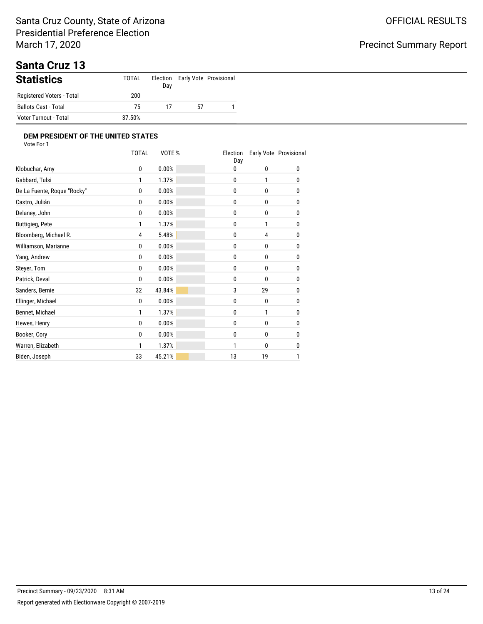### Santa Cruz County, State of Arizona Presidential Preference Election March 17, 2020

# Precinct Summary Report

## **Santa Cruz 13**

| <b>Statistics</b>         | TOTAL  | Day |    | Election Early Vote Provisional |
|---------------------------|--------|-----|----|---------------------------------|
| Registered Voters - Total | 200    |     |    |                                 |
| Ballots Cast - Total      | 75     | 17  | 57 |                                 |
| Voter Turnout - Total     | 37.50% |     |    |                                 |

|                             | <b>TOTAL</b> | VOTE%  | Election<br>Day |              | Early Vote Provisional |
|-----------------------------|--------------|--------|-----------------|--------------|------------------------|
| Klobuchar, Amy              | 0            | 0.00%  | 0               | 0            | 0                      |
| Gabbard, Tulsi              | 1            | 1.37%  | 0               | 1            | 0                      |
| De La Fuente, Roque "Rocky" | 0            | 0.00%  | 0               | 0            | 0                      |
| Castro, Julián              | 0            | 0.00%  | 0               | $\mathbf{0}$ | 0                      |
| Delaney, John               | 0            | 0.00%  | 0               | 0            | 0                      |
| <b>Buttigieg, Pete</b>      | 1            | 1.37%  | 0               | 1            | 0                      |
| Bloomberg, Michael R.       | 4            | 5.48%  | 0               | 4            | 0                      |
| Williamson, Marianne        | 0            | 0.00%  | 0               | 0            | 0                      |
| Yang, Andrew                | 0            | 0.00%  | 0               | 0            | 0                      |
| Steyer, Tom                 | 0            | 0.00%  | 0               | 0            | 0                      |
| Patrick, Deval              | 0            | 0.00%  | 0               | 0            | 0                      |
| Sanders, Bernie             | 32           | 43.84% | 3               | 29           | 0                      |
| Ellinger, Michael           | $\mathbf{0}$ | 0.00%  | 0               | 0            | 0                      |
| Bennet, Michael             | 1            | 1.37%  | 0               | 1            | 0                      |
| Hewes, Henry                | 0            | 0.00%  | 0               | 0            | 0                      |
| Booker, Cory                | 0            | 0.00%  | 0               | 0            | 0                      |
| Warren, Elizabeth           | 1            | 1.37%  | 1               | 0            | 0                      |
| Biden, Joseph               | 33           | 45.21% | 13              | 19           | 1                      |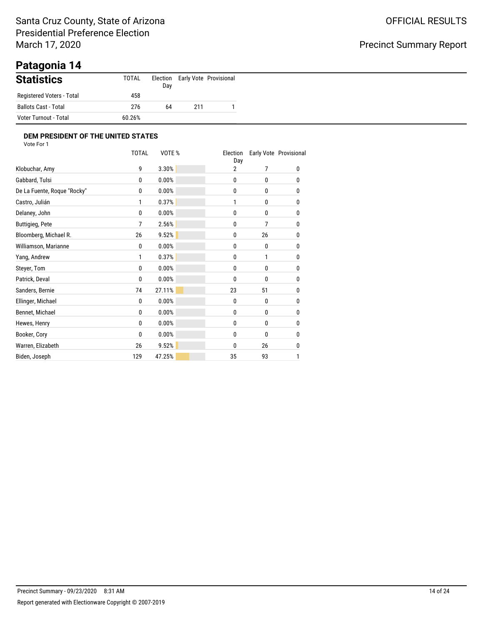### Santa Cruz County, State of Arizona Presidential Preference Election March 17, 2020

### Precinct Summary Report

# **Patagonia 14**

| <b>Statistics</b>         | TOTAL  | Election<br>Day |     | Early Vote Provisional |
|---------------------------|--------|-----------------|-----|------------------------|
| Registered Voters - Total | 458    |                 |     |                        |
| Ballots Cast - Total      | 276    | 64              | 211 |                        |
| Voter Turnout - Total     | 60.26% |                 |     |                        |

|                             | <b>TOTAL</b>   | VOTE%  | Election<br>Day |                | Early Vote Provisional |
|-----------------------------|----------------|--------|-----------------|----------------|------------------------|
| Klobuchar, Amy              | 9              | 3.30%  | 2               | 7              | 0                      |
| Gabbard, Tulsi              | $\mathbf{0}$   | 0.00%  | 0               | 0              | 0                      |
| De La Fuente, Roque "Rocky" | 0              | 0.00%  | 0               | $\mathbf{0}$   | 0                      |
| Castro, Julián              | 1              | 0.37%  | 1               | 0              | 0                      |
| Delaney, John               | $\mathbf{0}$   | 0.00%  | 0               | $\mathbf{0}$   | 0                      |
| <b>Buttigieg, Pete</b>      | $\overline{7}$ | 2.56%  | 0               | $\overline{7}$ | 0                      |
| Bloomberg, Michael R.       | 26             | 9.52%  | 0               | 26             | 0                      |
| Williamson, Marianne        | 0              | 0.00%  | 0               | 0              | 0                      |
| Yang, Andrew                | 1              | 0.37%  | 0               | 1              | 0                      |
| Steyer, Tom                 | 0              | 0.00%  | 0               | 0              | 0                      |
| Patrick, Deval              | 0              | 0.00%  | 0               | 0              | 0                      |
| Sanders, Bernie             | 74             | 27.11% | 23              | 51             | 0                      |
| Ellinger, Michael           | 0              | 0.00%  | 0               | 0              | 0                      |
| Bennet, Michael             | 0              | 0.00%  | 0               | 0              | 0                      |
| Hewes, Henry                | 0              | 0.00%  | 0               | 0              | 0                      |
| Booker, Cory                | 0              | 0.00%  | 0               | 0              | 0                      |
| Warren, Elizabeth           | 26             | 9.52%  | 0               | 26             | 0                      |
| Biden, Joseph               | 129            | 47.25% | 35              | 93             | 1                      |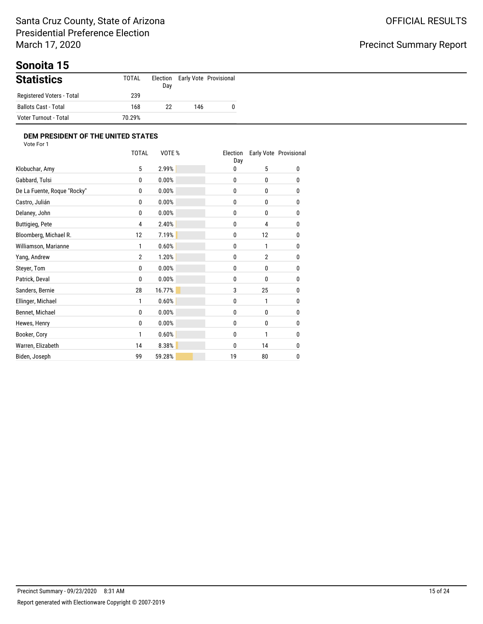# **Sonoita 15**

| <b>Statistics</b>         | TOTAL  | Election<br>Day |     | Early Vote Provisional |
|---------------------------|--------|-----------------|-----|------------------------|
| Registered Voters - Total | 239    |                 |     |                        |
| Ballots Cast - Total      | 168    | 22              | 146 |                        |
| Voter Turnout - Total     | 70.29% |                 |     |                        |

|                             | <b>TOTAL</b>   | VOTE%  | Election<br>Day |                | Early Vote Provisional |
|-----------------------------|----------------|--------|-----------------|----------------|------------------------|
| Klobuchar, Amy              | 5              | 2.99%  | 0               | 5              | 0                      |
| Gabbard, Tulsi              | 0              | 0.00%  | 0               | 0              | 0                      |
| De La Fuente, Roque "Rocky" | 0              | 0.00%  | 0               | 0              | 0                      |
| Castro, Julián              | 0              | 0.00%  | 0               | 0              | 0                      |
| Delaney, John               | $\mathbf{0}$   | 0.00%  | 0               | 0              | 0                      |
| <b>Buttigieg, Pete</b>      | 4              | 2.40%  | 0               | 4              | 0                      |
| Bloomberg, Michael R.       | 12             | 7.19%  | 0               | 12             | 0                      |
| Williamson, Marianne        | 1              | 0.60%  | 0               | 1              | 0                      |
| Yang, Andrew                | $\overline{2}$ | 1.20%  | 0               | $\overline{2}$ | 0                      |
| Steyer, Tom                 | 0              | 0.00%  | 0               | 0              | 0                      |
| Patrick, Deval              | 0              | 0.00%  | 0               | 0              | 0                      |
| Sanders, Bernie             | 28             | 16.77% | 3               | 25             | 0                      |
| Ellinger, Michael           | 1              | 0.60%  | 0               | 1              | 0                      |
| Bennet, Michael             | 0              | 0.00%  | 0               | $\mathbf{0}$   | 0                      |
| Hewes, Henry                | 0              | 0.00%  | 0               | 0              | 0                      |
| Booker, Cory                | 1              | 0.60%  | 0               | 1              | 0                      |
| Warren, Elizabeth           | 14             | 8.38%  | 0               | 14             | 0                      |
| Biden, Joseph               | 99             | 59.28% | 19              | 80             | 0                      |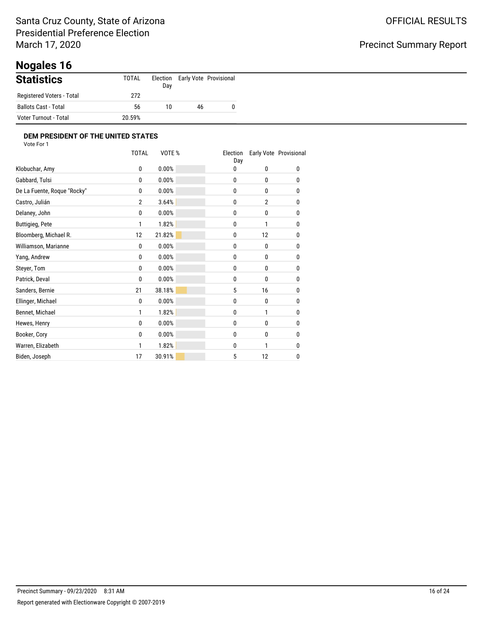# **Nogales 16**

| <b>Statistics</b>         | TOTAL  | Election<br>Day |    | Early Vote Provisional |
|---------------------------|--------|-----------------|----|------------------------|
| Registered Voters - Total | 272    |                 |    |                        |
| Ballots Cast - Total      | 56     | 10              | 46 |                        |
| Voter Turnout - Total     | 20.59% |                 |    |                        |

|                             | <b>TOTAL</b>   | VOTE%  | Election<br>Day |                | Early Vote Provisional |
|-----------------------------|----------------|--------|-----------------|----------------|------------------------|
| Klobuchar, Amy              | 0              | 0.00%  | 0               | 0              | 0                      |
| Gabbard, Tulsi              | $\mathbf{0}$   | 0.00%  | $\mathbf{0}$    | 0              | 0                      |
| De La Fuente, Roque "Rocky" | 0              | 0.00%  | 0               | $\mathbf{0}$   | 0                      |
| Castro, Julián              | $\overline{2}$ | 3.64%  | 0               | $\overline{2}$ | 0                      |
| Delaney, John               | $\mathbf{0}$   | 0.00%  | 0               | $\mathbf{0}$   | 0                      |
| <b>Buttigieg, Pete</b>      | 1              | 1.82%  | 0               | 1              | 0                      |
| Bloomberg, Michael R.       | 12             | 21.82% | 0               | 12             | 0                      |
| Williamson, Marianne        | 0              | 0.00%  | 0               | 0              | 0                      |
| Yang, Andrew                | 0              | 0.00%  | 0               | 0              | 0                      |
| Steyer, Tom                 | 0              | 0.00%  | 0               | 0              | 0                      |
| Patrick, Deval              | 0              | 0.00%  | 0               | 0              | 0                      |
| Sanders, Bernie             | 21             | 38.18% | 5               | 16             | 0                      |
| Ellinger, Michael           | 0              | 0.00%  | 0               | 0              | 0                      |
| Bennet, Michael             | 1              | 1.82%  | 0               | 1              | 0                      |
| Hewes, Henry                | 0              | 0.00%  | 0               | 0              | 0                      |
| Booker, Cory                | 0              | 0.00%  | 0               | 0              | 0                      |
| Warren, Elizabeth           | 1              | 1.82%  | 0               | 1              | 0                      |
| Biden, Joseph               | 17             | 30.91% | 5               | 12             | 0                      |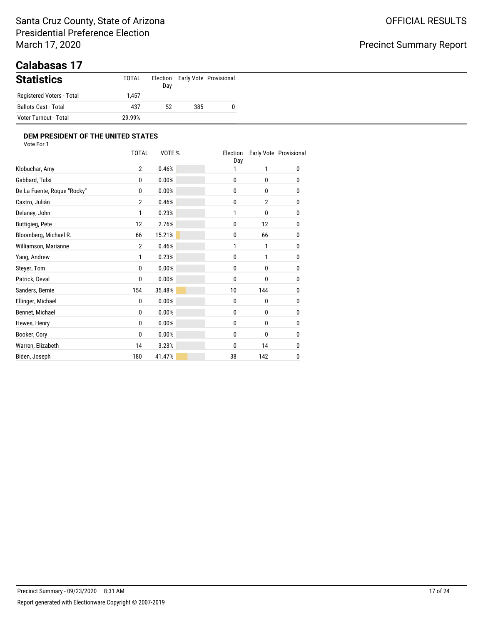### Santa Cruz County, State of Arizona Presidential Preference Election March 17, 2020

# Precinct Summary Report

## **Calabasas 17**

| <b>Statistics</b>         | TOTAL  | Day |     | Election Early Vote Provisional |
|---------------------------|--------|-----|-----|---------------------------------|
| Registered Voters - Total | .457   |     |     |                                 |
| Ballots Cast - Total      | 437    | 52  | 385 | 0                               |
| Voter Turnout - Total     | 29.99% |     |     |                                 |

|                             | <b>TOTAL</b>   | VOTE % | Election<br>Day |                | Early Vote Provisional |
|-----------------------------|----------------|--------|-----------------|----------------|------------------------|
| Klobuchar, Amy              | $\overline{2}$ | 0.46%  |                 | 1              | 0                      |
| Gabbard, Tulsi              | 0              | 0.00%  | 0               | 0              | 0                      |
| De La Fuente, Roque "Rocky" | 0              | 0.00%  | 0               | 0              | 0                      |
| Castro, Julián              | $\overline{2}$ | 0.46%  | 0               | $\overline{2}$ | 0                      |
| Delaney, John               | 1              | 0.23%  | 1               | 0              | 0                      |
| <b>Buttigieg, Pete</b>      | 12             | 2.76%  | 0               | 12             | 0                      |
| Bloomberg, Michael R.       | 66             | 15.21% | 0               | 66             | 0                      |
| Williamson, Marianne        | $\overline{2}$ | 0.46%  | 1               | 1              | 0                      |
| Yang, Andrew                | 1              | 0.23%  | 0               | 1              | 0                      |
| Steyer, Tom                 | 0              | 0.00%  | 0               | 0              | 0                      |
| Patrick, Deval              | 0              | 0.00%  | $\mathbf{0}$    | 0              | 0                      |
| Sanders, Bernie             | 154            | 35.48% | 10              | 144            | 0                      |
| Ellinger, Michael           | 0              | 0.00%  | $\mathbf{0}$    | 0              | 0                      |
| Bennet, Michael             | 0              | 0.00%  | 0               | 0              | 0                      |
| Hewes, Henry                | 0              | 0.00%  | 0               | 0              | 0                      |
| Booker, Cory                | 0              | 0.00%  | 0               | 0              | 0                      |
| Warren, Elizabeth           | 14             | 3.23%  | 0               | 14             | 0                      |
| Biden, Joseph               | 180            | 41.47% | 38              | 142            | 0                      |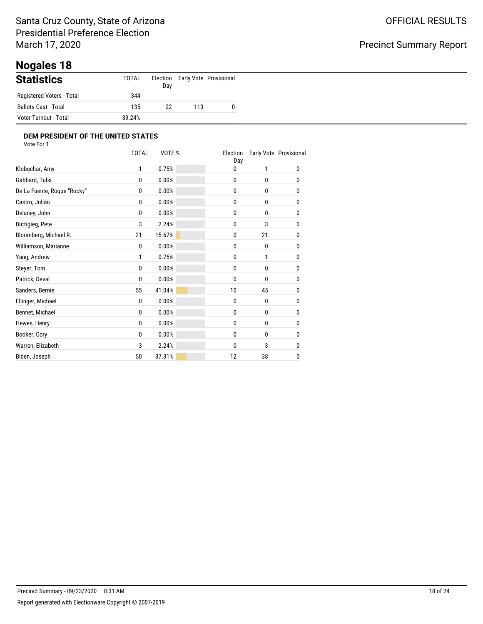# **Nogales 18**

| <b>Statistics</b>         | <b>TOTAL</b> | Day |     | Election Early Vote Provisional |
|---------------------------|--------------|-----|-----|---------------------------------|
| Registered Voters - Total | 344          |     |     |                                 |
| Ballots Cast - Total      | 135          | 22  | 113 |                                 |
| Voter Turnout - Total     | 39.24%       |     |     |                                 |

|                             | <b>TOTAL</b> | VOTE % | Election<br>Day |              | Early Vote Provisional |
|-----------------------------|--------------|--------|-----------------|--------------|------------------------|
| Klobuchar, Amy              | 1            | 0.75%  | 0               | 1            | 0                      |
| Gabbard, Tulsi              | $\mathbf{0}$ | 0.00%  | 0               | 0            | 0                      |
| De La Fuente, Roque "Rocky" | 0            | 0.00%  | 0               | $\mathbf{0}$ | 0                      |
| Castro, Julián              | 0            | 0.00%  | 0               | 0            | 0                      |
| Delaney, John               | $\mathbf{0}$ | 0.00%  | 0               | $\mathbf{0}$ | 0                      |
| <b>Buttigieg, Pete</b>      | 3            | 2.24%  | 0               | 3            | 0                      |
| Bloomberg, Michael R.       | 21           | 15.67% | 0               | 21           | 0                      |
| Williamson, Marianne        | 0            | 0.00%  | 0               | 0            | 0                      |
| Yang, Andrew                | 1            | 0.75%  | 0               | 1            | 0                      |
| Steyer, Tom                 | 0            | 0.00%  | 0               | 0            | 0                      |
| Patrick, Deval              | 0            | 0.00%  | 0               | 0            | 0                      |
| Sanders, Bernie             | 55           | 41.04% | 10              | 45           | 0                      |
| Ellinger, Michael           | 0            | 0.00%  | 0               | 0            | 0                      |
| Bennet, Michael             | 0            | 0.00%  | 0               | 0            | 0                      |
| Hewes, Henry                | 0            | 0.00%  | 0               | 0            | 0                      |
| Booker, Cory                | 0            | 0.00%  | 0               | 0            | 0                      |
| Warren, Elizabeth           | 3            | 2.24%  | 0               | 3            | 0                      |
| Biden, Joseph               | 50           | 37.31% | 12              | 38           | 0                      |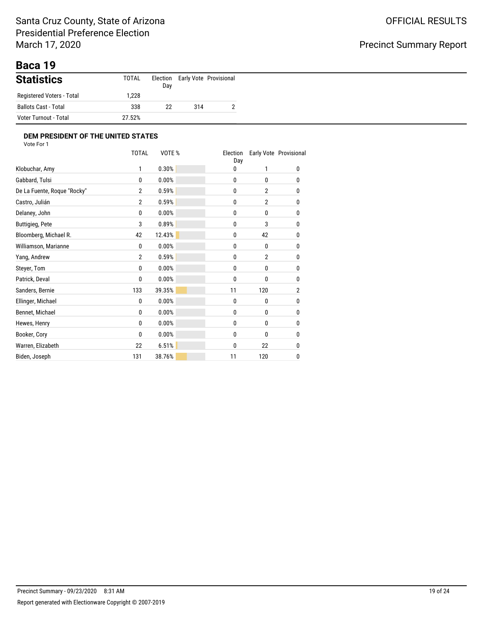# **Baca 19**

| <b>Statistics</b>         | TOTAL  | Day |     | Election Early Vote Provisional |
|---------------------------|--------|-----|-----|---------------------------------|
| Registered Voters - Total | .228   |     |     |                                 |
| Ballots Cast - Total      | 338    | 22  | 314 |                                 |
| Voter Turnout - Total     | 27.52% |     |     |                                 |

|                             | <b>TOTAL</b>   | VOTE % | Election<br>Day |                | Early Vote Provisional |
|-----------------------------|----------------|--------|-----------------|----------------|------------------------|
| Klobuchar, Amy              | 1              | 0.30%  | 0               | 1              | 0                      |
| Gabbard, Tulsi              | 0              | 0.00%  | 0               | 0              | 0                      |
| De La Fuente, Roque "Rocky" | $\overline{2}$ | 0.59%  | 0               | $\overline{2}$ | 0                      |
| Castro, Julián              | $\overline{2}$ | 0.59%  | 0               | $\overline{2}$ | 0                      |
| Delaney, John               | 0              | 0.00%  | 0               | $\mathbf{0}$   | 0                      |
| <b>Buttigieg, Pete</b>      | 3              | 0.89%  | 0               | 3              | 0                      |
| Bloomberg, Michael R.       | 42             | 12.43% | 0               | 42             | 0                      |
| Williamson, Marianne        | 0              | 0.00%  | 0               | 0              | 0                      |
| Yang, Andrew                | $\overline{2}$ | 0.59%  | 0               | 2              | 0                      |
| Steyer, Tom                 | 0              | 0.00%  | 0               | 0              | 0                      |
| Patrick, Deval              | 0              | 0.00%  | 0               | 0              | 0                      |
| Sanders, Bernie             | 133            | 39.35% | 11              | 120            | $\overline{2}$         |
| Ellinger, Michael           | 0              | 0.00%  | 0               | 0              | 0                      |
| Bennet, Michael             | 0              | 0.00%  | 0               | 0              | 0                      |
| Hewes, Henry                | 0              | 0.00%  | 0               | 0              | 0                      |
| Booker, Cory                | 0              | 0.00%  | 0               | 0              | 0                      |
| Warren, Elizabeth           | 22             | 6.51%  | 0               | 22             | 0                      |
| Biden, Joseph               | 131            | 38.76% | 11              | 120            | 0                      |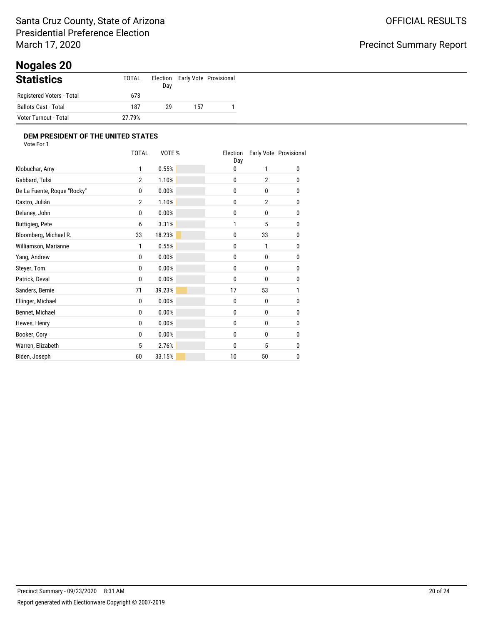# **Nogales 20**

| <b>Statistics</b>           | TOTAL  | Day |     | Election Early Vote Provisional |
|-----------------------------|--------|-----|-----|---------------------------------|
| Registered Voters - Total   | 673    |     |     |                                 |
| <b>Ballots Cast - Total</b> | 187    | 29  | 157 |                                 |
| Voter Turnout - Total       | 27.79% |     |     |                                 |

|                             | <b>TOTAL</b>   | VOTE % | Election<br>Day |                | Early Vote Provisional |
|-----------------------------|----------------|--------|-----------------|----------------|------------------------|
| Klobuchar, Amy              | 1              | 0.55%  | 0               | 1              | 0                      |
| Gabbard, Tulsi              | $\overline{2}$ | 1.10%  | 0               | $\overline{2}$ | 0                      |
| De La Fuente, Roque "Rocky" | 0              | 0.00%  | 0               | 0              | 0                      |
| Castro, Julián              | $\overline{2}$ | 1.10%  | 0               | $\overline{2}$ | 0                      |
| Delaney, John               | $\mathbf{0}$   | 0.00%  | 0               | $\mathbf{0}$   | 0                      |
| <b>Buttigieg, Pete</b>      | 6              | 3.31%  | 1               | 5              | 0                      |
| Bloomberg, Michael R.       | 33             | 18.23% | 0               | 33             | 0                      |
| Williamson, Marianne        | 1              | 0.55%  | 0               | 1              | 0                      |
| Yang, Andrew                | 0              | 0.00%  | 0               | 0              | 0                      |
| Steyer, Tom                 | 0              | 0.00%  | 0               | 0              | 0                      |
| Patrick, Deval              | 0              | 0.00%  | 0               | 0              | 0                      |
| Sanders, Bernie             | 71             | 39.23% | 17              | 53             | 1                      |
| Ellinger, Michael           | 0              | 0.00%  | 0               | 0              | 0                      |
| Bennet, Michael             | 0              | 0.00%  | 0               | $\mathbf{0}$   | 0                      |
| Hewes, Henry                | 0              | 0.00%  | 0               | 0              | 0                      |
| Booker, Cory                | 0              | 0.00%  | 0               | 0              | 0                      |
| Warren, Elizabeth           | 5              | 2.76%  | 0               | 5              | 0                      |
| Biden, Joseph               | 60             | 33.15% | 10              | 50             | 0                      |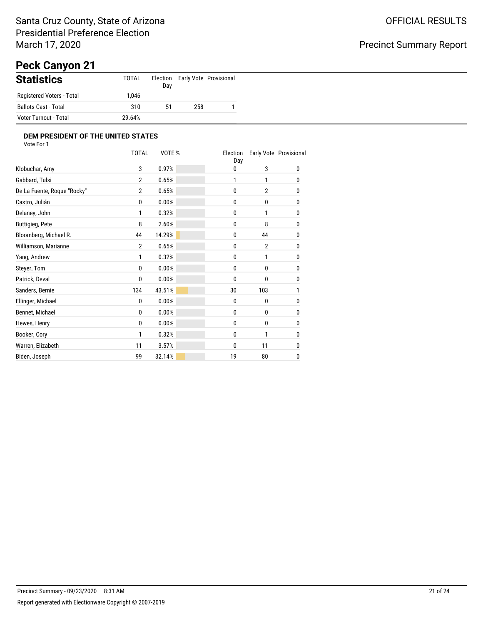# **Peck Canyon 21**

| <b>Statistics</b>           | TOTAL  | Election<br>Day |     | Early Vote Provisional |
|-----------------------------|--------|-----------------|-----|------------------------|
| Registered Voters - Total   | .046   |                 |     |                        |
| <b>Ballots Cast - Total</b> | 310    | 51              | 258 |                        |
| Voter Turnout - Total       | 29.64% |                 |     |                        |

|                             | <b>TOTAL</b>   | VOTE % | Election<br>Day |                | Early Vote Provisional |
|-----------------------------|----------------|--------|-----------------|----------------|------------------------|
| Klobuchar, Amy              | 3              | 0.97%  | 0               | 3              | 0                      |
| Gabbard, Tulsi              | $\overline{2}$ | 0.65%  | 1               | 1              | 0                      |
| De La Fuente, Roque "Rocky" | $\overline{2}$ | 0.65%  | 0               | $\overline{2}$ | 0                      |
| Castro, Julián              | 0              | 0.00%  | 0               | 0              | 0                      |
| Delaney, John               | 1              | 0.32%  | 0               | 1              | 0                      |
| <b>Buttigieg, Pete</b>      | 8              | 2.60%  | 0               | 8              | 0                      |
| Bloomberg, Michael R.       | 44             | 14.29% | 0               | 44             | 0                      |
| Williamson, Marianne        | $\overline{2}$ | 0.65%  | 0               | $\overline{2}$ | 0                      |
| Yang, Andrew                | 1              | 0.32%  | 0               | 1              | 0                      |
| Steyer, Tom                 | 0              | 0.00%  | 0               | 0              | 0                      |
| Patrick, Deval              | 0              | 0.00%  | 0               | 0              | 0                      |
| Sanders, Bernie             | 134            | 43.51% | 30              | 103            | 1                      |
| Ellinger, Michael           | 0              | 0.00%  | 0               | 0              | 0                      |
| Bennet, Michael             | 0              | 0.00%  | 0               | 0              | 0                      |
| Hewes, Henry                | 0              | 0.00%  | 0               | 0              | 0                      |
| Booker, Cory                | 1              | 0.32%  | 0               | 1              | 0                      |
| Warren, Elizabeth           | 11             | 3.57%  | 0               | 11             | 0                      |
| Biden, Joseph               | 99             | 32.14% | 19              | 80             | 0                      |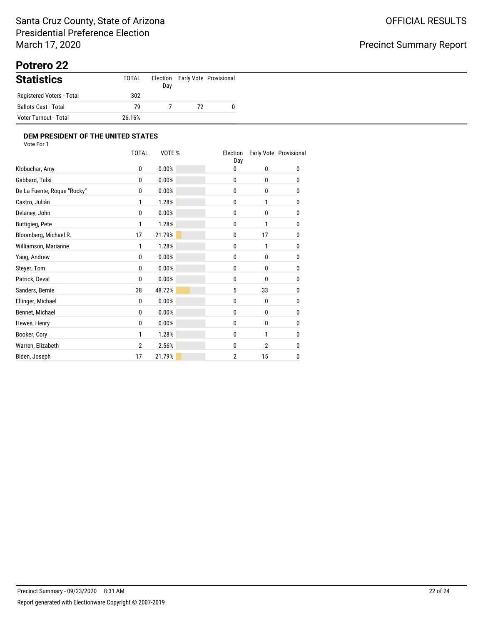# **Potrero 22**

| <b>Statistics</b>         | TOTAL  | Day |    | Election Early Vote Provisional |
|---------------------------|--------|-----|----|---------------------------------|
| Registered Voters - Total | 302    |     |    |                                 |
| Ballots Cast - Total      | 79     |     | 72 | 0                               |
| Voter Turnout - Total     | 26.16% |     |    |                                 |

|                             | <b>TOTAL</b>   | VOTE % | Election<br>Day |                | Early Vote Provisional |
|-----------------------------|----------------|--------|-----------------|----------------|------------------------|
| Klobuchar, Amy              | 0              | 0.00%  | 0               | 0              | 0                      |
| Gabbard, Tulsi              | 0              | 0.00%  | 0               | 0              | 0                      |
| De La Fuente, Roque "Rocky" | 0              | 0.00%  | 0               | 0              | 0                      |
| Castro, Julián              | 1              | 1.28%  | 0               | 1              | 0                      |
| Delaney, John               | $\mathbf{0}$   | 0.00%  | 0               | $\mathbf{0}$   | 0                      |
| <b>Buttigieg, Pete</b>      | 1              | 1.28%  | 0               | 1              | 0                      |
| Bloomberg, Michael R.       | 17             | 21.79% | 0               | 17             | 0                      |
| Williamson, Marianne        | 1              | 1.28%  | 0               | 1              | 0                      |
| Yang, Andrew                | 0              | 0.00%  | 0               | 0              | 0                      |
| Steyer, Tom                 | 0              | 0.00%  | 0               | 0              | 0                      |
| Patrick, Deval              | 0              | 0.00%  | 0               | 0              | 0                      |
| Sanders, Bernie             | 38             | 48.72% | 5               | 33             | 0                      |
| Ellinger, Michael           | 0              | 0.00%  | 0               | 0              | 0                      |
| Bennet, Michael             | 0              | 0.00%  | 0               | 0              | 0                      |
| Hewes, Henry                | 0              | 0.00%  | 0               | 0              | 0                      |
| Booker, Cory                | 1              | 1.28%  | 0               | 1              | 0                      |
| Warren, Elizabeth           | $\overline{2}$ | 2.56%  | 0               | $\overline{2}$ | 0                      |
| Biden, Joseph               | 17             | 21.79% | $\overline{2}$  | 15             | 0                      |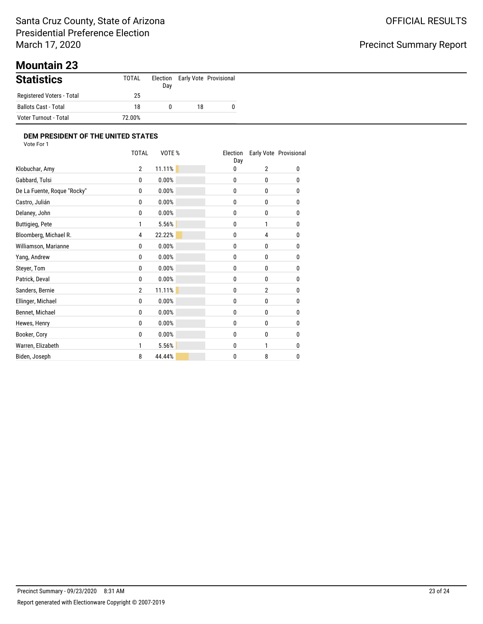### Santa Cruz County, State of Arizona Presidential Preference Election March 17, 2020

# Precinct Summary Report

# **Mountain 23**

| <b>Statistics</b>         | TOTAL  | Day |    | Election Early Vote Provisional |
|---------------------------|--------|-----|----|---------------------------------|
| Registered Voters - Total | 25     |     |    |                                 |
| Ballots Cast - Total      | 18     | 0   | 18 |                                 |
| Voter Turnout - Total     | 72.00% |     |    |                                 |

|                             | <b>TOTAL</b>   | VOTE % | Election<br>Day |                | Early Vote Provisional |
|-----------------------------|----------------|--------|-----------------|----------------|------------------------|
| Klobuchar, Amy              | $\overline{2}$ | 11.11% | 0               | $\overline{2}$ | 0                      |
| Gabbard, Tulsi              | 0              | 0.00%  | 0               | 0              | 0                      |
| De La Fuente, Roque "Rocky" | 0              | 0.00%  | 0               | 0              | 0                      |
| Castro, Julián              | 0              | 0.00%  | 0               | 0              | 0                      |
| Delaney, John               | $\mathbf{0}$   | 0.00%  | 0               | 0              | 0                      |
| <b>Buttigieg, Pete</b>      | 1              | 5.56%  | 0               | 1              | 0                      |
| Bloomberg, Michael R.       | 4              | 22.22% | 0               | 4              | 0                      |
| Williamson, Marianne        | 0              | 0.00%  | 0               | 0              | 0                      |
| Yang, Andrew                | 0              | 0.00%  | 0               | 0              | 0                      |
| Steyer, Tom                 | 0              | 0.00%  | 0               | 0              | 0                      |
| Patrick, Deval              | 0              | 0.00%  | 0               | 0              | 0                      |
| Sanders, Bernie             | $\overline{2}$ | 11.11% | 0               | $\overline{2}$ | 0                      |
| Ellinger, Michael           | 0              | 0.00%  | 0               | 0              | 0                      |
| Bennet, Michael             | 0              | 0.00%  | 0               | $\mathbf{0}$   | 0                      |
| Hewes, Henry                | 0              | 0.00%  | 0               | 0              | 0                      |
| Booker, Cory                | 0              | 0.00%  | 0               | 0              | 0                      |
| Warren, Elizabeth           | 1              | 5.56%  | 0               | 1              | 0                      |
| Biden, Joseph               | 8              | 44.44% | 0               | 8              | 0                      |